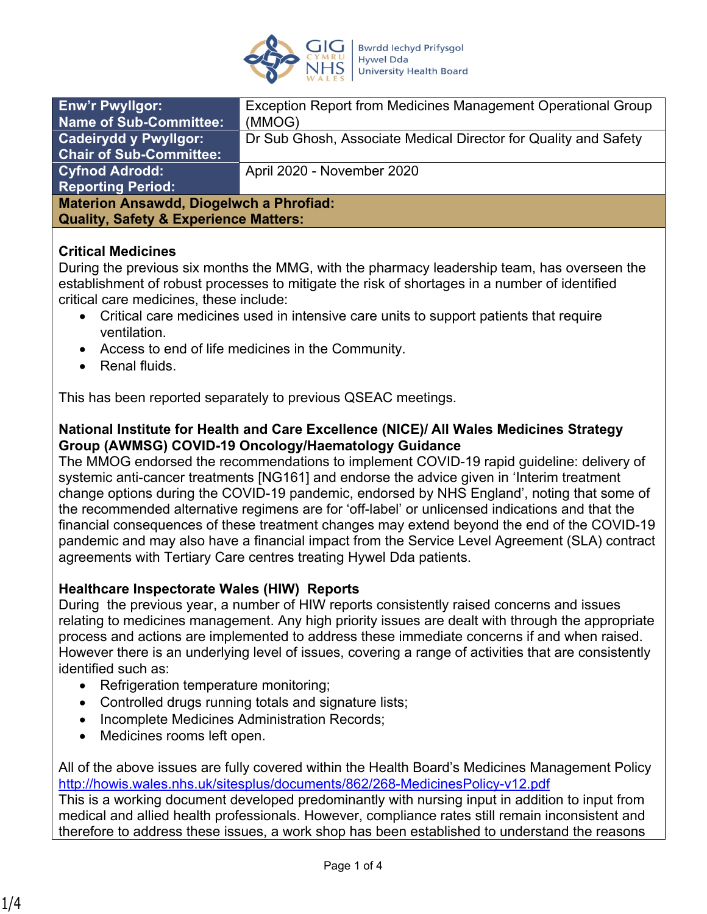

| <b>Enw'r Pwyllgor:</b><br><b>Name of Sub-Committee:</b>                                            | Exception Report from Medicines Management Operational Group<br>(MMOG) |
|----------------------------------------------------------------------------------------------------|------------------------------------------------------------------------|
| <b>Cadeirydd y Pwyllgor:</b><br><b>Chair of Sub-Committee:</b>                                     | Dr Sub Ghosh, Associate Medical Director for Quality and Safety        |
| <b>Cyfnod Adrodd:</b>                                                                              | April 2020 - November 2020                                             |
| <b>Reporting Period:</b>                                                                           |                                                                        |
| <b>Materion Ansawdd, Diogelwch a Phrofiad:</b><br><b>Quality, Safety &amp; Experience Matters:</b> |                                                                        |

#### **Critical Medicines**

During the previous six months the MMG, with the pharmacy leadership team, has overseen the establishment of robust processes to mitigate the risk of shortages in a number of identified critical care medicines, these include:

- Critical care medicines used in intensive care units to support patients that require ventilation.
- Access to end of life medicines in the Community.
- Renal fluids

This has been reported separately to previous QSEAC meetings.

#### **National Institute for Health and Care Excellence (NICE)/ All Wales Medicines Strategy Group (AWMSG) COVID-19 Oncology/Haematology Guidance**

The MMOG endorsed the recommendations to implement COVID-19 rapid guideline: delivery of systemic anti-cancer treatments [NG161] and endorse the advice given in 'Interim treatment change options during the COVID-19 pandemic, endorsed by NHS England', noting that some of the recommended alternative regimens are for 'off-label' or unlicensed indications and that the financial consequences of these treatment changes may extend beyond the end of the COVID-19 pandemic and may also have a financial impact from the Service Level Agreement (SLA) contract agreements with Tertiary Care centres treating Hywel Dda patients.

## **Healthcare Inspectorate Wales (HIW) Reports**

During the previous year, a number of HIW reports consistently raised concerns and issues relating to medicines management. Any high priority issues are dealt with through the appropriate process and actions are implemented to address these immediate concerns if and when raised. However there is an underlying level of issues, covering a range of activities that are consistently identified such as:

- Refrigeration temperature monitoring;
- Controlled drugs running totals and signature lists;
- Incomplete Medicines Administration Records;
- Medicines rooms left open.

All of the above issues are fully covered within the Health Board's Medicines Management Policy <http://howis.wales.nhs.uk/sitesplus/documents/862/268-MedicinesPolicy-v12.pdf>

This is a working document developed predominantly with nursing input in addition to input from medical and allied health professionals. However, compliance rates still remain inconsistent and therefore to address these issues, a work shop has been established to understand the reasons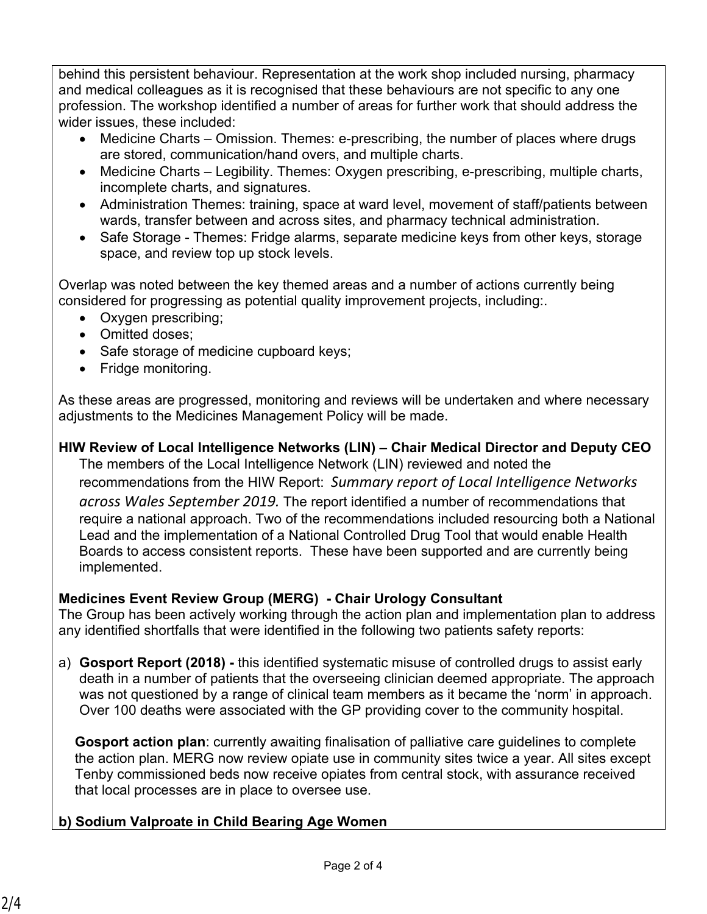behind this persistent behaviour. Representation at the work shop included nursing, pharmacy and medical colleagues as it is recognised that these behaviours are not specific to any one profession. The workshop identified a number of areas for further work that should address the wider issues, these included:

- Medicine Charts Omission. Themes: e-prescribing, the number of places where drugs are stored, communication/hand overs, and multiple charts.
- Medicine Charts Legibility. Themes: Oxygen prescribing, e-prescribing, multiple charts, incomplete charts, and signatures.
- Administration Themes: training, space at ward level, movement of staff/patients between wards, transfer between and across sites, and pharmacy technical administration.
- Safe Storage Themes: Fridge alarms, separate medicine keys from other keys, storage space, and review top up stock levels.

Overlap was noted between the key themed areas and a number of actions currently being considered for progressing as potential quality improvement projects, including:.

- Oxygen prescribing;
- Omitted doses:
- Safe storage of medicine cupboard keys;
- Fridge monitoring.

As these areas are progressed, monitoring and reviews will be undertaken and where necessary adjustments to the Medicines Management Policy will be made.

## **HIW Review of Local Intelligence Networks (LIN) – Chair Medical Director and Deputy CEO**

The members of the Local Intelligence Network (LIN) reviewed and noted the recommendations from the HIW Report: *Summary report of Local Intelligence Networks across Wales September 2019.* The report identified a number of recommendations that require a national approach. Two of the recommendations included resourcing both a National Lead and the implementation of a National Controlled Drug Tool that would enable Health Boards to access consistent reports. These have been supported and are currently being implemented.

## **Medicines Event Review Group (MERG) - Chair Urology Consultant**

The Group has been actively working through the action plan and implementation plan to address any identified shortfalls that were identified in the following two patients safety reports:

a) **Gosport Report (2018) -** this identified systematic misuse of controlled drugs to assist early death in a number of patients that the overseeing clinician deemed appropriate. The approach was not questioned by a range of clinical team members as it became the 'norm' in approach. Over 100 deaths were associated with the GP providing cover to the community hospital.

**Gosport action plan**: currently awaiting finalisation of palliative care guidelines to complete the action plan. MERG now review opiate use in community sites twice a year. All sites except Tenby commissioned beds now receive opiates from central stock, with assurance received that local processes are in place to oversee use.

# **b) Sodium Valproate in Child Bearing Age Women**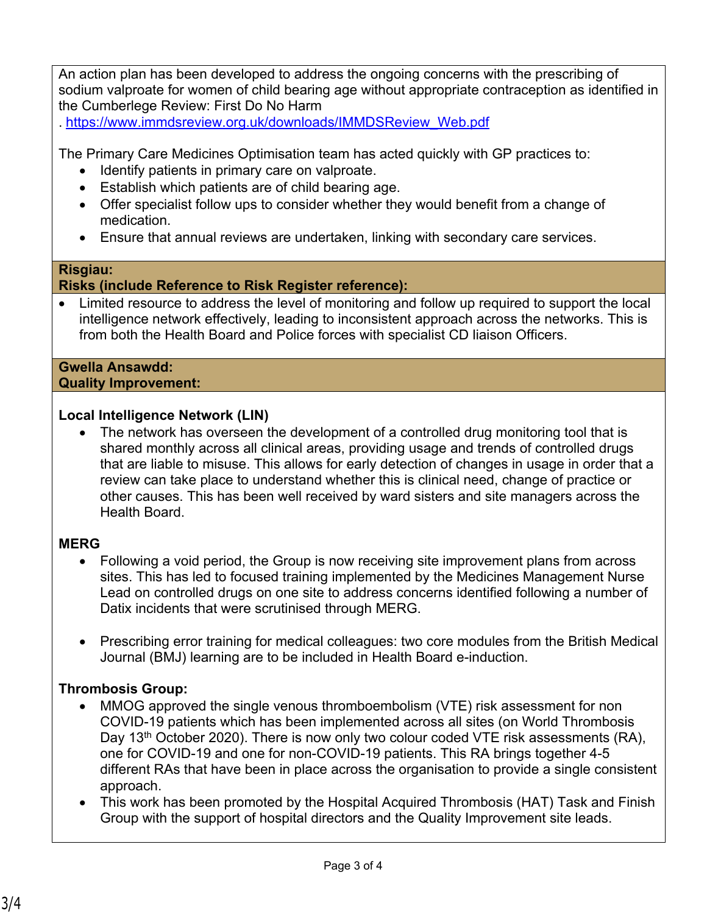An action plan has been developed to address the ongoing concerns with the prescribing of sodium valproate for women of child bearing age without appropriate contraception as identified in the Cumberlege Review: First Do No Harm

. [https://www.immdsreview.org.uk/downloads/IMMDSReview\\_Web.pdf](https://www.immdsreview.org.uk/downloads/IMMDSReview_Web.pdf) 

The Primary Care Medicines Optimisation team has acted quickly with GP practices to:

- Identify patients in primary care on valproate.
- Establish which patients are of child bearing age.
- Offer specialist follow ups to consider whether they would benefit from a change of medication.
- Ensure that annual reviews are undertaken, linking with secondary care services.

#### **Risgiau:**

#### **Risks (include Reference to Risk Register reference):**

 Limited resource to address the level of monitoring and follow up required to support the local intelligence network effectively, leading to inconsistent approach across the networks. This is from both the Health Board and Police forces with specialist CD liaison Officers.

#### **Gwella Ansawdd: Quality Improvement:**

#### **Local Intelligence Network (LIN)**

• The network has overseen the development of a controlled drug monitoring tool that is shared monthly across all clinical areas, providing usage and trends of controlled drugs that are liable to misuse. This allows for early detection of changes in usage in order that a review can take place to understand whether this is clinical need, change of practice or other causes. This has been well received by ward sisters and site managers across the Health Board.

#### **MERG**

- Following a void period, the Group is now receiving site improvement plans from across sites. This has led to focused training implemented by the Medicines Management Nurse Lead on controlled drugs on one site to address concerns identified following a number of Datix incidents that were scrutinised through MERG.
- Prescribing error training for medical colleagues: two core modules from the British Medical Journal (BMJ) learning are to be included in Health Board e-induction.

## **Thrombosis Group:**

- MMOG approved the single venous thromboembolism (VTE) risk assessment for non COVID-19 patients which has been implemented across all sites (on World Thrombosis Day 13<sup>th</sup> October 2020). There is now only two colour coded VTE risk assessments (RA), one for COVID-19 and one for non-COVID-19 patients. This RA brings together 4-5 different RAs that have been in place across the organisation to provide a single consistent approach.
- This work has been promoted by the Hospital Acquired Thrombosis (HAT) Task and Finish Group with the support of hospital directors and the Quality Improvement site leads.